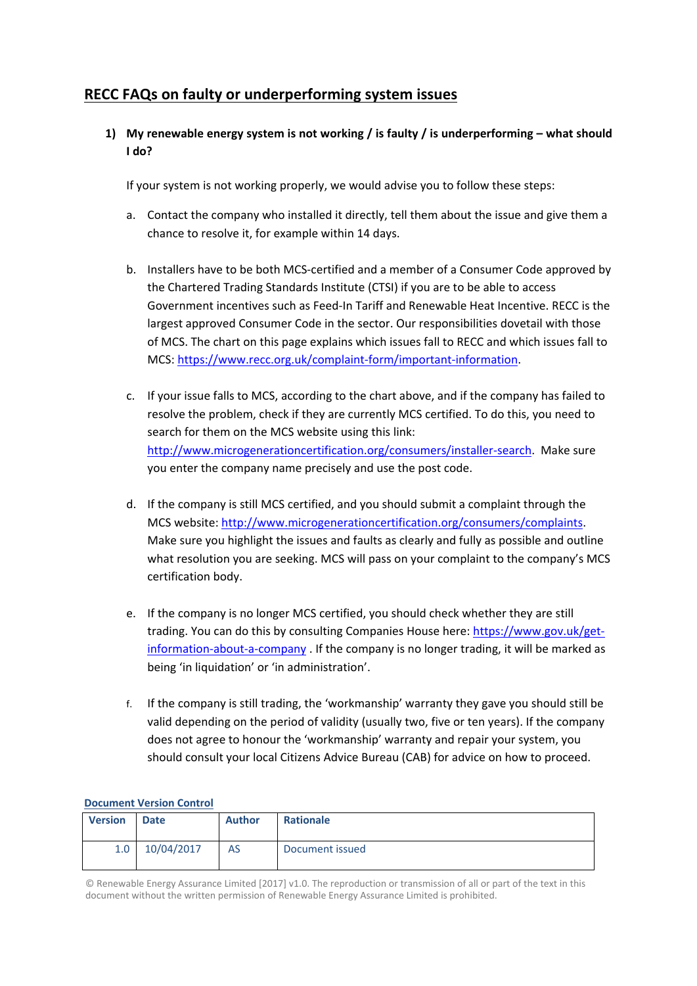# **RECC FAQs on faulty or underperforming system issues**

**1) My renewable energy system is not working / is faulty / is underperforming – what should I do?** 

If your system is not working properly, we would advise you to follow these steps:

- a. Contact the company who installed it directly, tell them about the issue and give them a chance to resolve it, for example within 14 days.
- b. Installers have to be both MCS‐certified and a member of a Consumer Code approved by the Chartered Trading Standards Institute (CTSI) if you are to be able to access Government incentives such as Feed‐In Tariff and Renewable Heat Incentive. RECC is the largest approved Consumer Code in the sector. Our responsibilities dovetail with those of MCS. The chart on this page explains which issues fall to RECC and which issues fall to MCS: https://www.recc.org.uk/complaint‐form/important‐information.
- c. If your issue falls to MCS, according to the chart above, and if the company has failed to resolve the problem, check if they are currently MCS certified. To do this, you need to search for them on the MCS website using this link: http://www.microgenerationcertification.org/consumers/installer-search. Make sure you enter the company name precisely and use the post code.
- d. If the company is still MCS certified, and you should submit a complaint through the MCS website: http://www.microgenerationcertification.org/consumers/complaints. Make sure you highlight the issues and faults as clearly and fully as possible and outline what resolution you are seeking. MCS will pass on your complaint to the company's MCS certification body.
- e. If the company is no longer MCS certified, you should check whether they are still trading. You can do this by consulting Companies House here: https://www.gov.uk/get‐ information-about-a-company . If the company is no longer trading, it will be marked as being 'in liquidation' or 'in administration'.
- f. If the company is still trading, the 'workmanship' warranty they gave you should still be valid depending on the period of validity (usually two, five or ten years). If the company does not agree to honour the 'workmanship' warranty and repair your system, you should consult your local Citizens Advice Bureau (CAB) for advice on how to proceed.

#### **Document Version Control**

| <b>Version</b> | <b>Date</b> | Author | <b>Rationale</b> |
|----------------|-------------|--------|------------------|
| 1.0            | 10/04/2017  | AS     | Document issued  |

© Renewable Energy Assurance Limited [2017] v1.0. The reproduction or transmission of all or part of the text in this document without the written permission of Renewable Energy Assurance Limited is prohibited.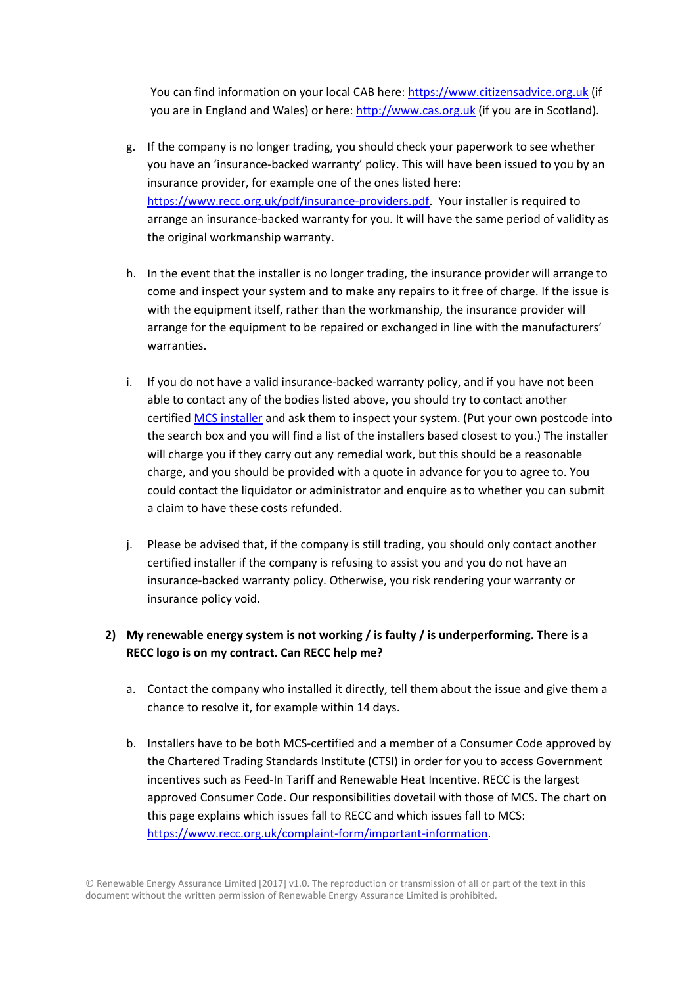You can find information on your local CAB here: https://www.citizensadvice.org.uk (if you are in England and Wales) or here: http://www.cas.org.uk (if you are in Scotland).

- g. If the company is no longer trading, you should check your paperwork to see whether you have an 'insurance‐backed warranty' policy. This will have been issued to you by an insurance provider, for example one of the ones listed here: https://www.recc.org.uk/pdf/insurance‐providers.pdf. Your installer is required to arrange an insurance‐backed warranty for you. It will have the same period of validity as the original workmanship warranty.
- h. In the event that the installer is no longer trading, the insurance provider will arrange to come and inspect your system and to make any repairs to it free of charge. If the issue is with the equipment itself, rather than the workmanship, the insurance provider will arrange for the equipment to be repaired or exchanged in line with the manufacturers' warranties.
- i. If you do not have a valid insurance-backed warranty policy, and if you have not been able to contact any of the bodies listed above, you should try to contact another certified MCS installer and ask them to inspect your system. (Put your own postcode into the search box and you will find a list of the installers based closest to you.) The installer will charge you if they carry out any remedial work, but this should be a reasonable charge, and you should be provided with a quote in advance for you to agree to. You could contact the liquidator or administrator and enquire as to whether you can submit a claim to have these costs refunded.
- j. Please be advised that, if the company is still trading, you should only contact another certified installer if the company is refusing to assist you and you do not have an insurance‐backed warranty policy. Otherwise, you risk rendering your warranty or insurance policy void.

### **2) My renewable energy system is not working / is faulty / is underperforming. There is a RECC logo is on my contract. Can RECC help me?**

- a. Contact the company who installed it directly, tell them about the issue and give them a chance to resolve it, for example within 14 days.
- b. Installers have to be both MCS‐certified and a member of a Consumer Code approved by the Chartered Trading Standards Institute (CTSI) in order for you to access Government incentives such as Feed‐In Tariff and Renewable Heat Incentive. RECC is the largest approved Consumer Code. Our responsibilities dovetail with those of MCS. The chart on this page explains which issues fall to RECC and which issues fall to MCS: https://www.recc.org.uk/complaint‐form/important‐information.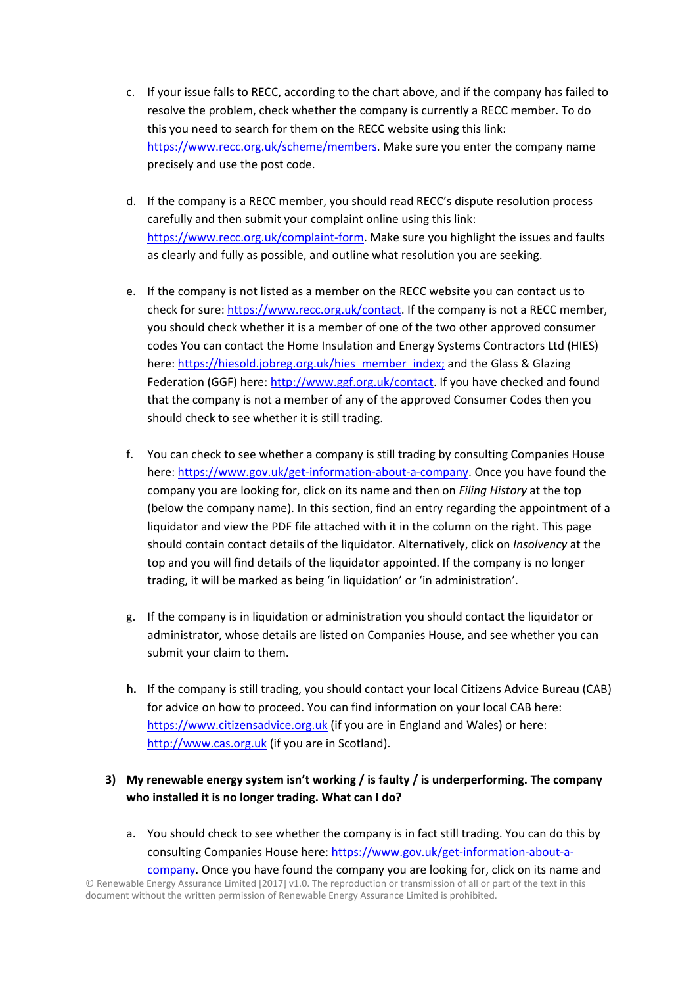- c. If your issue falls to RECC, according to the chart above, and if the company has failed to resolve the problem, check whether the company is currently a RECC member. To do this you need to search for them on the RECC website using this link: https://www.recc.org.uk/scheme/members. Make sure you enter the company name precisely and use the post code.
- d. If the company is a RECC member, you should read RECC's dispute resolution process carefully and then submit your complaint online using this link: https://www.recc.org.uk/complaint‐form. Make sure you highlight the issues and faults as clearly and fully as possible, and outline what resolution you are seeking.
- e. If the company is not listed as a member on the RECC website you can contact us to check for sure: https://www.recc.org.uk/contact. If the company is not a RECC member, you should check whether it is a member of one of the two other approved consumer codes You can contact the Home Insulation and Energy Systems Contractors Ltd (HIES) here: https://hiesold.jobreg.org.uk/hies\_member\_index; and the Glass & Glazing Federation (GGF) here: http://www.ggf.org.uk/contact. If you have checked and found that the company is not a member of any of the approved Consumer Codes then you should check to see whether it is still trading.
- f. You can check to see whether a company is still trading by consulting Companies House here: https://www.gov.uk/get-information-about-a-company. Once you have found the company you are looking for, click on its name and then on *Filing History* at the top (below the company name). In this section, find an entry regarding the appointment of a liquidator and view the PDF file attached with it in the column on the right. This page should contain contact details of the liquidator. Alternatively, click on *Insolvency* at the top and you will find details of the liquidator appointed. If the company is no longer trading, it will be marked as being 'in liquidation' or 'in administration'.
- g. If the company is in liquidation or administration you should contact the liquidator or administrator, whose details are listed on Companies House, and see whether you can submit your claim to them.
- **h.** If the company is still trading, you should contact your local Citizens Advice Bureau (CAB) for advice on how to proceed. You can find information on your local CAB here: https://www.citizensadvice.org.uk (if you are in England and Wales) or here: http://www.cas.org.uk (if you are in Scotland).

### **3) My renewable energy system isn't working / is faulty / is underperforming. The company**  who installed it is no longer trading. What can I do?

a. You should check to see whether the company is in fact still trading. You can do this by consulting Companies House here: https://www.gov.uk/get-information-about-acompany. Once you have found the company you are looking for, click on its name and

© Renewable Energy Assurance Limited [2017] v1.0. The reproduction or transmission of all or part of the text in this document without the written permission of Renewable Energy Assurance Limited is prohibited.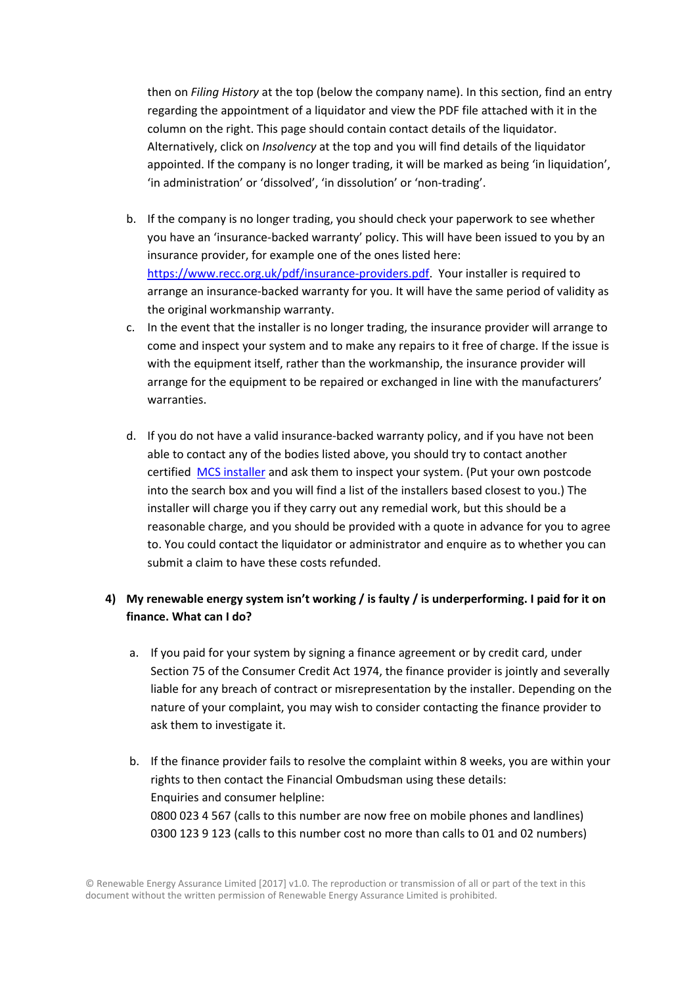then on *Filing History* at the top (below the company name). In this section, find an entry regarding the appointment of a liquidator and view the PDF file attached with it in the column on the right. This page should contain contact details of the liquidator. Alternatively, click on *Insolvency* at the top and you will find details of the liquidator appointed. If the company is no longer trading, it will be marked as being 'in liquidation', 'in administration' or 'dissolved', 'in dissolution' or 'non‐trading'.

- b. If the company is no longer trading, you should check your paperwork to see whether you have an 'insurance‐backed warranty' policy. This will have been issued to you by an insurance provider, for example one of the ones listed here: https://www.recc.org.uk/pdf/insurance‐providers.pdf. Your installer is required to arrange an insurance‐backed warranty for you. It will have the same period of validity as the original workmanship warranty.
- c. In the event that the installer is no longer trading, the insurance provider will arrange to come and inspect your system and to make any repairs to it free of charge. If the issue is with the equipment itself, rather than the workmanship, the insurance provider will arrange for the equipment to be repaired or exchanged in line with the manufacturers' warranties.
- d. If you do not have a valid insurance‐backed warranty policy, and if you have not been able to contact any of the bodies listed above, you should try to contact another certified MCS installer and ask them to inspect your system. (Put your own postcode into the search box and you will find a list of the installers based closest to you.) The installer will charge you if they carry out any remedial work, but this should be a reasonable charge, and you should be provided with a quote in advance for you to agree to. You could contact the liquidator or administrator and enquire as to whether you can submit a claim to have these costs refunded.

## **4) My renewable energy system isn't working / is faulty / is underperforming. I paid for it on finance. What can I do?**

- a. If you paid for your system by signing a finance agreement or by credit card, under Section 75 of the Consumer Credit Act 1974, the finance provider is jointly and severally liable for any breach of contract or misrepresentation by the installer. Depending on the nature of your complaint, you may wish to consider contacting the finance provider to ask them to investigate it.
- b. If the finance provider fails to resolve the complaint within 8 weeks, you are within your rights to then contact the Financial Ombudsman using these details: Enquiries and consumer helpline: 0800 023 4 567 (calls to this number are now free on mobile phones and landlines) 0300 123 9 123 (calls to this number cost no more than calls to 01 and 02 numbers)